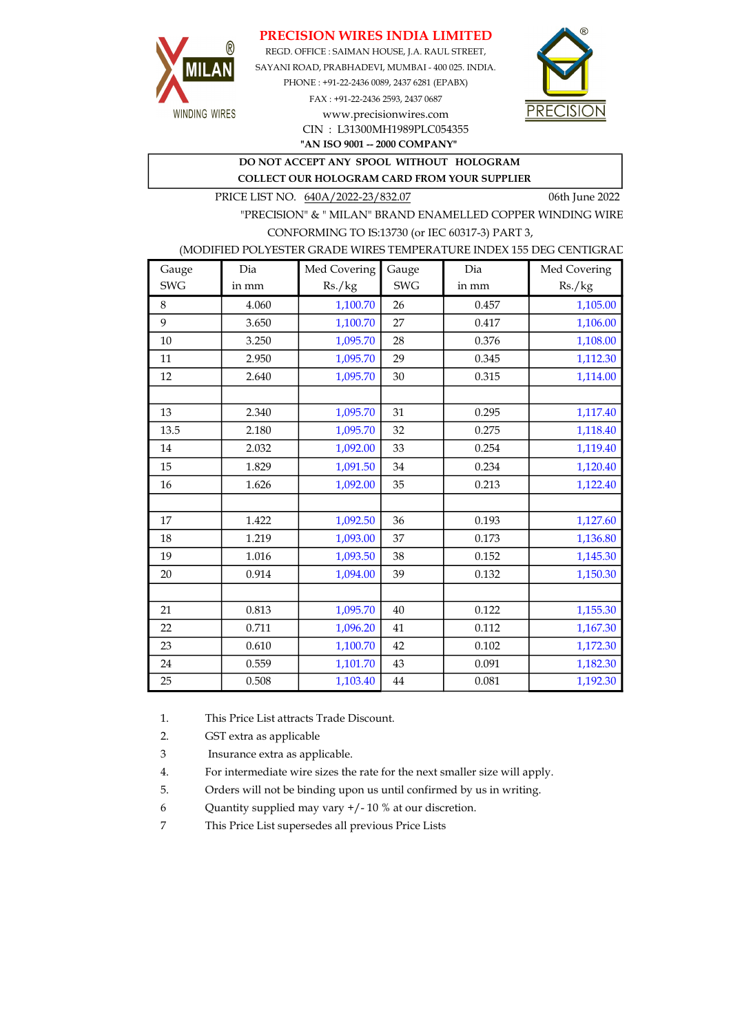## PRECISION WIRES INDIA LIMITED



REGD. OFFICE : SAIMAN HOUSE, J.A. RAUL STREET, SAYANI ROAD, PRABHADEVI, MUMBAI - 400 025. INDIA. PHONE : +91-22-2436 0089, 2437 6281 (EPABX) FAX : +91-22-2436 2593, 2437 0687 www.precisionwires.com



"AN ISO 9001 -- 2000 COMPANY" CIN : L31300MH1989PLC054355

DO NOT ACCEPT ANY SPOOL WITHOUT HOLOGRAM

COLLECT OUR HOLOGRAM CARD FROM YOUR SUPPLIER

PRICE LIST NO. 640A/2022-23/832.07 06th June 2022

"PRECISION" & " MILAN" BRAND ENAMELLED COPPER WINDING WIRE CONFORMING TO IS:13730 (or IEC 60317-3) PART 3,

### (MODIFIED POLYESTER GRADE WIRES TEMPERATURE INDEX 155 DEG CENTIGRAD

| Gauge      | Dia   | Med Covering | Gauge      | Dia   | Med Covering |
|------------|-------|--------------|------------|-------|--------------|
| <b>SWG</b> | in mm | Rs./kg       | <b>SWG</b> | in mm | Rs./kg       |
| 8          | 4.060 | 1,100.70     | 26         | 0.457 | 1,105.00     |
| 9          | 3.650 | 1,100.70     | 27         | 0.417 | 1,106.00     |
| 10         | 3.250 | 1,095.70     | 28         | 0.376 | 1,108.00     |
| 11         | 2.950 | 1,095.70     | 29         | 0.345 | 1,112.30     |
| 12         | 2.640 | 1,095.70     | 30         | 0.315 | 1,114.00     |
|            |       |              |            |       |              |
| 13         | 2.340 | 1,095.70     | 31         | 0.295 | 1,117.40     |
| 13.5       | 2.180 | 1,095.70     | 32         | 0.275 | 1,118.40     |
| 14         | 2.032 | 1,092.00     | 33         | 0.254 | 1,119.40     |
| 15         | 1.829 | 1,091.50     | 34         | 0.234 | 1,120.40     |
| 16         | 1.626 | 1,092.00     | 35         | 0.213 | 1,122.40     |
|            |       |              |            |       |              |
| 17         | 1.422 | 1,092.50     | 36         | 0.193 | 1,127.60     |
| 18         | 1.219 | 1,093.00     | 37         | 0.173 | 1,136.80     |
| 19         | 1.016 | 1,093.50     | 38         | 0.152 | 1,145.30     |
| 20         | 0.914 | 1,094.00     | 39         | 0.132 | 1,150.30     |
|            |       |              |            |       |              |
| 21         | 0.813 | 1,095.70     | 40         | 0.122 | 1,155.30     |
| 22         | 0.711 | 1,096.20     | 41         | 0.112 | 1,167.30     |
| 23         | 0.610 | 1,100.70     | 42         | 0.102 | 1,172.30     |
| 24         | 0.559 | 1,101.70     | 43         | 0.091 | 1,182.30     |
| 25         | 0.508 | 1,103.40     | 44         | 0.081 | 1,192.30     |

1. This Price List attracts Trade Discount.

2. GST extra as applicable

3 Insurance extra as applicable.

4. For intermediate wire sizes the rate for the next smaller size will apply.

5. Orders will not be binding upon us until confirmed by us in writing.

6 Quantity supplied may vary +/- 10 % at our discretion.

7 This Price List supersedes all previous Price Lists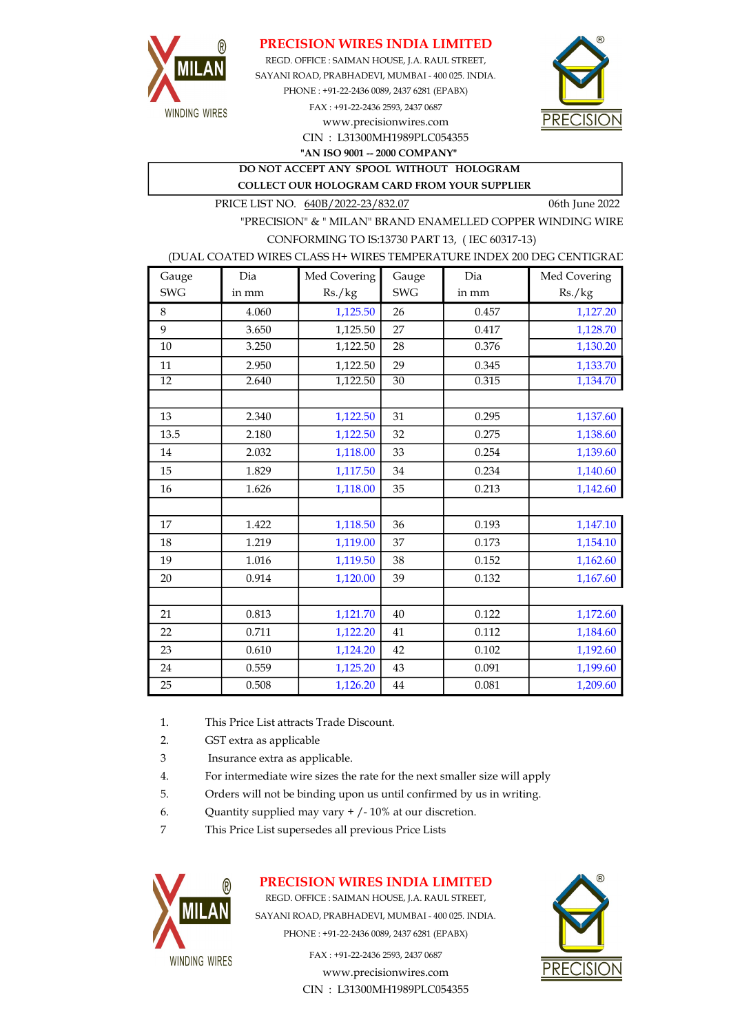

## PRECISION WIRES INDIA LIMITED

SAYANI ROAD, PRABHADEVI, MUMBAI - 400 025. INDIA. PHONE : +91-22-2436 0089, 2437 6281 (EPABX) FAX : +91-22-2436 2593, 2437 0687 www.precisionwires.com REGD. OFFICE : SAIMAN HOUSE, J.A. RAUL STREET,



CIN : L31300MH1989PLC054355 "AN ISO 9001 -- 2000 COMPANY"

DO NOT ACCEPT ANY SPOOL WITHOUT HOLOGRAM COLLECT OUR HOLOGRAM CARD FROM YOUR SUPPLIER

PRICE LIST NO. 640B/2022-23/832.07 06th June 2022

"PRECISION" & " MILAN" BRAND ENAMELLED COPPER WINDING WIRE CONFORMING TO IS:13730 PART 13, ( IEC 60317-13)

#### (DUAL COATED WIRES CLASS H+ WIRES TEMPERATURE INDEX 200 DEG CENTIGRAD

| Gauge           | Dia   | Med Covering | Gauge           | Dia   | Med Covering |
|-----------------|-------|--------------|-----------------|-------|--------------|
| <b>SWG</b>      | in mm | Rs./kg       | <b>SWG</b>      | in mm | Rs./kg       |
| 8               | 4.060 | 1,125.50     | 26              | 0.457 | 1,127.20     |
| 9               | 3.650 | 1,125.50     | 27              | 0.417 | 1,128.70     |
| 10              | 3.250 | 1,122.50     | 28              | 0.376 | 1,130.20     |
| 11              | 2.950 | 1,122.50     | 29              | 0.345 | 1,133.70     |
| $\overline{12}$ | 2.640 | 1,122.50     | $\overline{30}$ | 0.315 | 1,134.70     |
|                 |       |              |                 |       |              |
| 13              | 2.340 | 1,122.50     | 31              | 0.295 | 1,137.60     |
| 13.5            | 2.180 | 1,122.50     | 32              | 0.275 | 1,138.60     |
| 14              | 2.032 | 1,118.00     | 33              | 0.254 | 1,139.60     |
| 15              | 1.829 | 1,117.50     | 34              | 0.234 | 1,140.60     |
| 16              | 1.626 | 1,118.00     | 35              | 0.213 | 1,142.60     |
|                 |       |              |                 |       |              |
| 17              | 1.422 | 1,118.50     | 36              | 0.193 | 1,147.10     |
| 18              | 1.219 | 1,119.00     | 37              | 0.173 | 1,154.10     |
| 19              | 1.016 | 1,119.50     | 38              | 0.152 | 1,162.60     |
| 20              | 0.914 | 1,120.00     | 39              | 0.132 | 1,167.60     |
|                 |       |              |                 |       |              |
| 21              | 0.813 | 1,121.70     | 40              | 0.122 | 1,172.60     |
| 22              | 0.711 | 1,122.20     | 41              | 0.112 | 1,184.60     |
| 23              | 0.610 | 1,124.20     | 42              | 0.102 | 1,192.60     |
| 24              | 0.559 | 1,125.20     | 43              | 0.091 | 1,199.60     |
| 25              | 0.508 | 1,126.20     | $\bf 44$        | 0.081 | 1,209.60     |

- 1. This Price List attracts Trade Discount.
- 2. GST extra as applicable
- 3 Insurance extra as applicable.
- 4. For intermediate wire sizes the rate for the next smaller size will apply
- 5. Orders will not be binding upon us until confirmed by us in writing.
- 6. Quantity supplied may vary  $+/-10\%$  at our discretion.
- 7 This Price List supersedes all previous Price Lists



## PRECISION WIRES INDIA LIMITED

REGD. OFFICE : SAIMAN HOUSE, J.A. RAUL STREET, SAYANI ROAD, PRABHADEVI, MUMBAI - 400 025. INDIA. PHONE : +91-22-2436 0089, 2437 6281 (EPABX)

> FAX : +91-22-2436 2593, 2437 0687 www.precisionwires.com CIN : L31300MH1989PLC054355